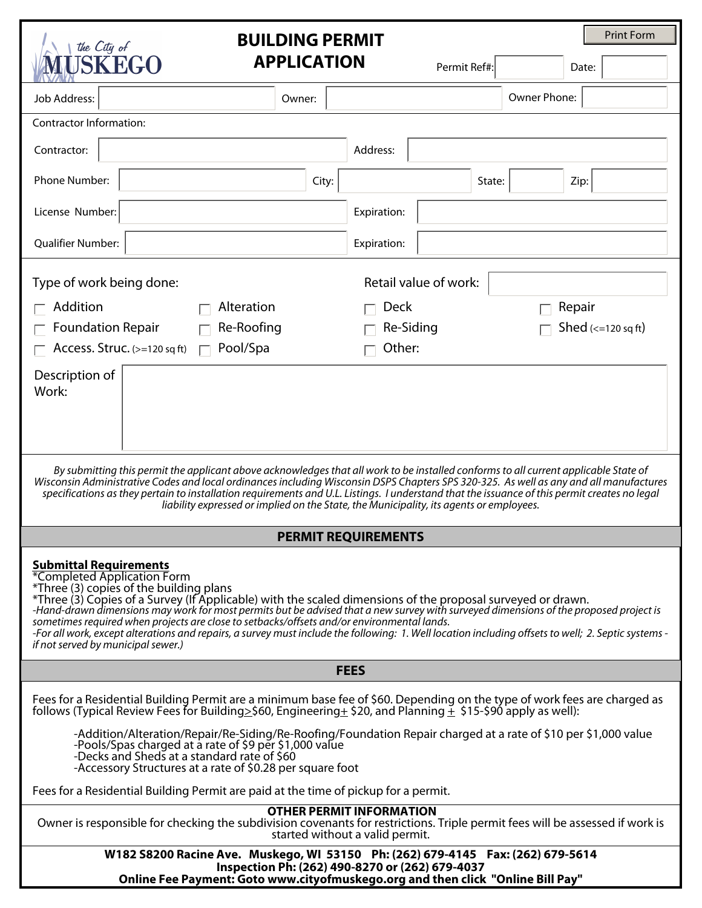| <b>Print Form</b><br><b>BUILDING PERMIT</b><br>the City of                                                                                                                                                                                                                                                                                                                                                                                                                                                                                                                                                                                                 |                    |             |                                           |              |  |
|------------------------------------------------------------------------------------------------------------------------------------------------------------------------------------------------------------------------------------------------------------------------------------------------------------------------------------------------------------------------------------------------------------------------------------------------------------------------------------------------------------------------------------------------------------------------------------------------------------------------------------------------------------|--------------------|-------------|-------------------------------------------|--------------|--|
| <b>IUSKEGO</b>                                                                                                                                                                                                                                                                                                                                                                                                                                                                                                                                                                                                                                             | <b>APPLICATION</b> |             | Permit Ref#:                              | Date:        |  |
| Job Address:                                                                                                                                                                                                                                                                                                                                                                                                                                                                                                                                                                                                                                               | Owner:             |             |                                           | Owner Phone: |  |
| Contractor Information:                                                                                                                                                                                                                                                                                                                                                                                                                                                                                                                                                                                                                                    |                    |             |                                           |              |  |
| Contractor:                                                                                                                                                                                                                                                                                                                                                                                                                                                                                                                                                                                                                                                |                    | Address:    |                                           |              |  |
| Phone Number:                                                                                                                                                                                                                                                                                                                                                                                                                                                                                                                                                                                                                                              | City:              |             | State:                                    | Zip:         |  |
| License Number:                                                                                                                                                                                                                                                                                                                                                                                                                                                                                                                                                                                                                                            |                    | Expiration: |                                           |              |  |
| <b>Qualifier Number:</b>                                                                                                                                                                                                                                                                                                                                                                                                                                                                                                                                                                                                                                   |                    | Expiration: |                                           |              |  |
| Retail value of work:<br>Type of work being done:                                                                                                                                                                                                                                                                                                                                                                                                                                                                                                                                                                                                          |                    |             |                                           |              |  |
| Addition                                                                                                                                                                                                                                                                                                                                                                                                                                                                                                                                                                                                                                                   | Alteration         |             | Deck<br>Repair                            |              |  |
| <b>Foundation Repair</b><br>Re-Roofing                                                                                                                                                                                                                                                                                                                                                                                                                                                                                                                                                                                                                     |                    |             | Shed $\left($ < = 120 sq ft)<br>Re-Siding |              |  |
| Pool/Spa<br>Access. Struc. $(>=120 \text{ sq ft})$                                                                                                                                                                                                                                                                                                                                                                                                                                                                                                                                                                                                         |                    | Other:      |                                           |              |  |
| Description of<br>Work:                                                                                                                                                                                                                                                                                                                                                                                                                                                                                                                                                                                                                                    |                    |             |                                           |              |  |
| By submitting this permit the applicant above acknowledges that all work to be installed conforms to all current applicable State of<br>Wisconsin Administrative Codes and local ordinances including Wisconsin DSPS Chapters SPS 320-325. As well as any and all manufactures<br>specifications as they pertain to installation requirements and U.L. Listings. I understand that the issuance of this permit creates no legal<br>liability expressed or implied on the State, the Municipality, its agents or employees.                                                                                                                                 |                    |             |                                           |              |  |
| <b>PERMIT REQUIREMENTS</b>                                                                                                                                                                                                                                                                                                                                                                                                                                                                                                                                                                                                                                 |                    |             |                                           |              |  |
| <b>Submittal Requirements</b><br>*Completed Application Form<br>*Three (3) copies of the building plans<br>*Three (3) Copies of a Survey (If Applicable) with the scaled dimensions of the proposal surveyed or drawn.<br>-Hand-drawn dimensions may work for most permits but be advised that a new survey with surveyed dimensions of the proposed project is<br>sometimes required when projects are close to setbacks/offsets and/or environmental lands.<br>-For all work, except alterations and repairs, a survey must include the following: 1. Well location including offsets to well; 2. Septic systems -<br>if not served by municipal sewer.) |                    |             |                                           |              |  |
| <b>FEES</b>                                                                                                                                                                                                                                                                                                                                                                                                                                                                                                                                                                                                                                                |                    |             |                                           |              |  |
| Fees for a Residential Building Permit are a minimum base fee of \$60. Depending on the type of work fees are charged as<br>follows (Typical Review Fees for Building>\$60, Engineering+ \$20, and Planning $+$ \$15-\$90 apply as well):                                                                                                                                                                                                                                                                                                                                                                                                                  |                    |             |                                           |              |  |
| -Addition/Alteration/Repair/Re-Siding/Re-Roofing/Foundation Repair charged at a rate of \$10 per \$1,000 value<br>-Pools/Spas charged at a rate of \$9 per \$1,000 value<br>-Decks and Sheds at a standard rate of \$60<br>-Accessory Structures at a rate of \$0.28 per square foot                                                                                                                                                                                                                                                                                                                                                                       |                    |             |                                           |              |  |
| Fees for a Residential Building Permit are paid at the time of pickup for a permit.                                                                                                                                                                                                                                                                                                                                                                                                                                                                                                                                                                        |                    |             |                                           |              |  |
| <b>OTHER PERMIT INFORMATION</b><br>Owner is responsible for checking the subdivision covenants for restrictions. Triple permit fees will be assessed if work is<br>started without a valid permit.                                                                                                                                                                                                                                                                                                                                                                                                                                                         |                    |             |                                           |              |  |
| W182 S8200 Racine Ave. Muskego, WI 53150 Ph: (262) 679-4145 Fax: (262) 679-5614<br>Inspection Ph: (262) 490-8270 or (262) 679-4037<br>Online Fee Payment: Goto www.cityofmuskego.org and then click "Online Bill Pay"                                                                                                                                                                                                                                                                                                                                                                                                                                      |                    |             |                                           |              |  |